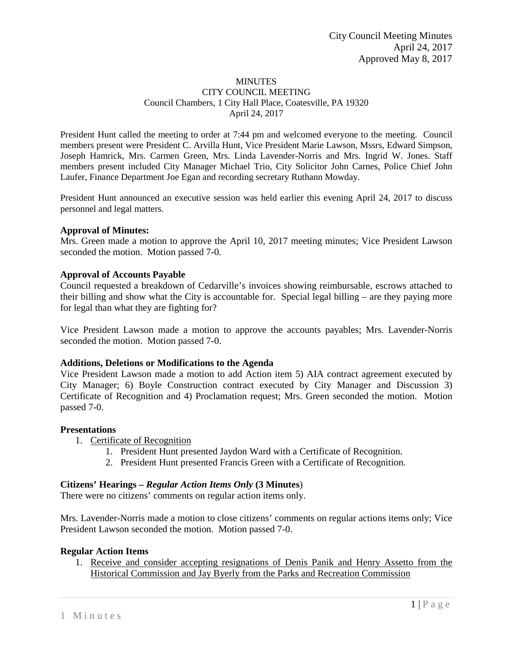#### **MINUTES** CITY COUNCIL MEETING Council Chambers, 1 City Hall Place, Coatesville, PA 19320 April 24, 2017

President Hunt called the meeting to order at 7:44 pm and welcomed everyone to the meeting. Council members present were President C. Arvilla Hunt, Vice President Marie Lawson, Mssrs, Edward Simpson, Joseph Hamrick, Mrs. Carmen Green, Mrs. Linda Lavender-Norris and Mrs. Ingrid W. Jones. Staff members present included City Manager Michael Trio, City Solicitor John Carnes, Police Chief John Laufer, Finance Department Joe Egan and recording secretary Ruthann Mowday.

President Hunt announced an executive session was held earlier this evening April 24, 2017 to discuss personnel and legal matters.

# **Approval of Minutes:**

Mrs. Green made a motion to approve the April 10, 2017 meeting minutes; Vice President Lawson seconded the motion. Motion passed 7-0.

### **Approval of Accounts Payable**

Council requested a breakdown of Cedarville's invoices showing reimbursable, escrows attached to their billing and show what the City is accountable for. Special legal billing – are they paying more for legal than what they are fighting for?

Vice President Lawson made a motion to approve the accounts payables; Mrs. Lavender-Norris seconded the motion. Motion passed 7-0.

#### **Additions, Deletions or Modifications to the Agenda**

Vice President Lawson made a motion to add Action item 5) AIA contract agreement executed by City Manager; 6) Boyle Construction contract executed by City Manager and Discussion 3) Certificate of Recognition and 4) Proclamation request; Mrs. Green seconded the motion. Motion passed 7-0.

#### **Presentations**

- 1. Certificate of Recognition
	- 1. President Hunt presented Jaydon Ward with a Certificate of Recognition.
	- 2. President Hunt presented Francis Green with a Certificate of Recognition.

#### **Citizens' Hearings –** *Regular Action Items Only* **(3 Minutes**)

There were no citizens' comments on regular action items only.

Mrs. Lavender-Norris made a motion to close citizens' comments on regular actions items only; Vice President Lawson seconded the motion. Motion passed 7-0.

#### **Regular Action Items**

1. Receive and consider accepting resignations of Denis Panik and Henry Assetto from the Historical Commission and Jay Byerly from the Parks and Recreation Commission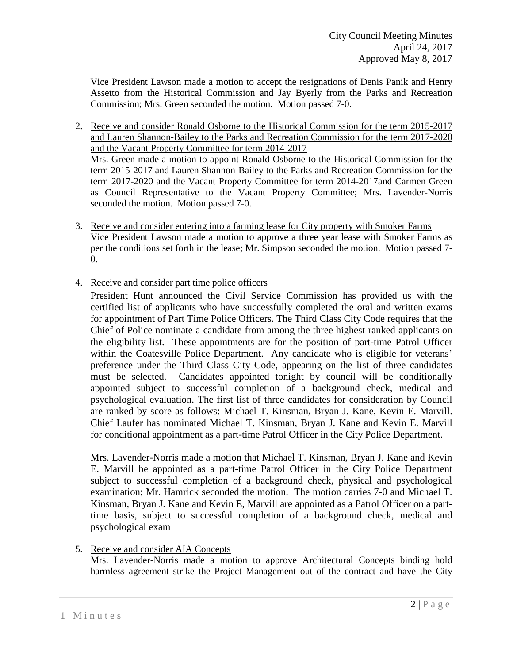Vice President Lawson made a motion to accept the resignations of Denis Panik and Henry Assetto from the Historical Commission and Jay Byerly from the Parks and Recreation Commission; Mrs. Green seconded the motion. Motion passed 7-0.

- 2. Receive and consider Ronald Osborne to the Historical Commission for the term 2015-2017 and Lauren Shannon-Bailey to the Parks and Recreation Commission for the term 2017-2020 and the Vacant Property Committee for term 2014-2017 Mrs. Green made a motion to appoint Ronald Osborne to the Historical Commission for the term 2015-2017 and Lauren Shannon-Bailey to the Parks and Recreation Commission for the term 2017-2020 and the Vacant Property Committee for term 2014-2017and Carmen Green as Council Representative to the Vacant Property Committee; Mrs. Lavender-Norris seconded the motion. Motion passed 7-0.
- 3. Receive and consider entering into a farming lease for City property with Smoker Farms Vice President Lawson made a motion to approve a three year lease with Smoker Farms as per the conditions set forth in the lease; Mr. Simpson seconded the motion. Motion passed 7- 0.
- 4. Receive and consider part time police officers

President Hunt announced the Civil Service Commission has provided us with the certified list of applicants who have successfully completed the oral and written exams for appointment of Part Time Police Officers. The Third Class City Code requires that the Chief of Police nominate a candidate from among the three highest ranked applicants on the eligibility list. These appointments are for the position of part-time Patrol Officer within the Coatesville Police Department. Any candidate who is eligible for veterans' preference under the Third Class City Code, appearing on the list of three candidates must be selected. Candidates appointed tonight by council will be conditionally appointed subject to successful completion of a background check, medical and psychological evaluation. The first list of three candidates for consideration by Council are ranked by score as follows: Michael T. Kinsman**,** Bryan J. Kane, Kevin E. Marvill. Chief Laufer has nominated Michael T. Kinsman, Bryan J. Kane and Kevin E. Marvill for conditional appointment as a part-time Patrol Officer in the City Police Department.

Mrs. Lavender-Norris made a motion that Michael T. Kinsman, Bryan J. Kane and Kevin E. Marvill be appointed as a part-time Patrol Officer in the City Police Department subject to successful completion of a background check, physical and psychological examination; Mr. Hamrick seconded the motion. The motion carries 7-0 and Michael T. Kinsman, Bryan J. Kane and Kevin E, Marvill are appointed as a Patrol Officer on a parttime basis, subject to successful completion of a background check, medical and psychological exam

# 5. Receive and consider AIA Concepts

Mrs. Lavender-Norris made a motion to approve Architectural Concepts binding hold harmless agreement strike the Project Management out of the contract and have the City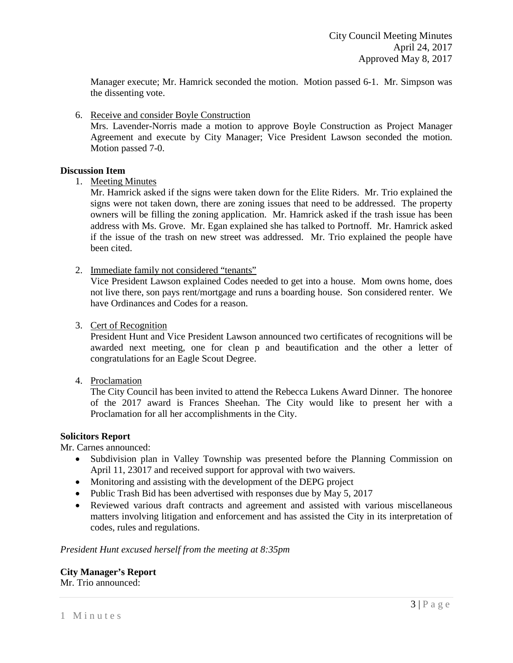Manager execute; Mr. Hamrick seconded the motion. Motion passed 6-1. Mr. Simpson was the dissenting vote.

6. Receive and consider Boyle Construction

Mrs. Lavender-Norris made a motion to approve Boyle Construction as Project Manager Agreement and execute by City Manager; Vice President Lawson seconded the motion. Motion passed 7-0.

### **Discussion Item**

1. Meeting Minutes

Mr. Hamrick asked if the signs were taken down for the Elite Riders. Mr. Trio explained the signs were not taken down, there are zoning issues that need to be addressed. The property owners will be filling the zoning application. Mr. Hamrick asked if the trash issue has been address with Ms. Grove. Mr. Egan explained she has talked to Portnoff. Mr. Hamrick asked if the issue of the trash on new street was addressed. Mr. Trio explained the people have been cited.

2. Immediate family not considered "tenants"

Vice President Lawson explained Codes needed to get into a house. Mom owns home, does not live there, son pays rent/mortgage and runs a boarding house. Son considered renter. We have Ordinances and Codes for a reason.

3. Cert of Recognition

President Hunt and Vice President Lawson announced two certificates of recognitions will be awarded next meeting, one for clean p and beautification and the other a letter of congratulations for an Eagle Scout Degree.

4. Proclamation

The City Council has been invited to attend the Rebecca Lukens Award Dinner. The honoree of the 2017 award is Frances Sheehan. The City would like to present her with a Proclamation for all her accomplishments in the City.

#### **Solicitors Report**

Mr. Carnes announced:

- Subdivision plan in Valley Township was presented before the Planning Commission on April 11, 23017 and received support for approval with two waivers.
- Monitoring and assisting with the development of the DEPG project
- Public Trash Bid has been advertised with responses due by May 5, 2017
- Reviewed various draft contracts and agreement and assisted with various miscellaneous matters involving litigation and enforcement and has assisted the City in its interpretation of codes, rules and regulations.

*President Hunt excused herself from the meeting at 8:35pm*

**City Manager's Report** Mr. Trio announced: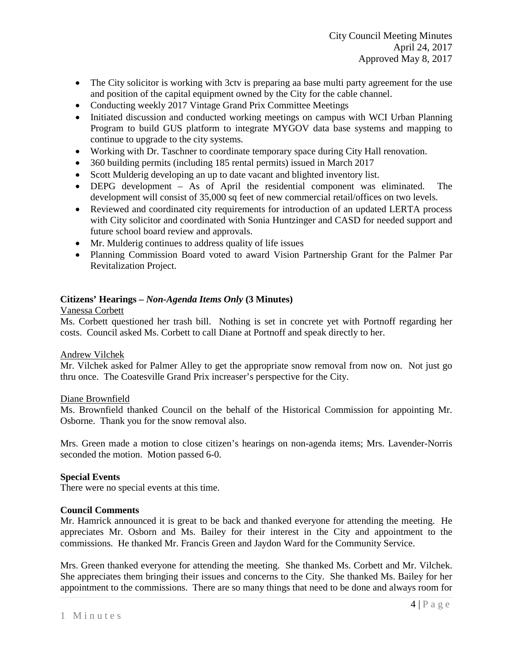- The City solicitor is working with 3ctv is preparing aa base multi party agreement for the use and position of the capital equipment owned by the City for the cable channel.
- Conducting weekly 2017 Vintage Grand Prix Committee Meetings
- Initiated discussion and conducted working meetings on campus with WCI Urban Planning Program to build GUS platform to integrate MYGOV data base systems and mapping to continue to upgrade to the city systems.
- Working with Dr. Taschner to coordinate temporary space during City Hall renovation.
- 360 building permits (including 185 rental permits) issued in March 2017
- Scott Mulderig developing an up to date vacant and blighted inventory list.
- DEPG development As of April the residential component was eliminated. The development will consist of 35,000 sq feet of new commercial retail/offices on two levels.
- Reviewed and coordinated city requirements for introduction of an updated LERTA process with City solicitor and coordinated with Sonia Huntzinger and CASD for needed support and future school board review and approvals.
- Mr. Mulderig continues to address quality of life issues
- Planning Commission Board voted to award Vision Partnership Grant for the Palmer Par Revitalization Project.

# **Citizens' Hearings –** *Non-Agenda Items Only* **(3 Minutes)**

### Vanessa Corbett

Ms. Corbett questioned her trash bill. Nothing is set in concrete yet with Portnoff regarding her costs. Council asked Ms. Corbett to call Diane at Portnoff and speak directly to her.

# Andrew Vilchek

Mr. Vilchek asked for Palmer Alley to get the appropriate snow removal from now on. Not just go thru once. The Coatesville Grand Prix increaser's perspective for the City.

#### Diane Brownfield

Ms. Brownfield thanked Council on the behalf of the Historical Commission for appointing Mr. Osborne. Thank you for the snow removal also.

Mrs. Green made a motion to close citizen's hearings on non-agenda items; Mrs. Lavender-Norris seconded the motion. Motion passed 6-0.

#### **Special Events**

There were no special events at this time.

#### **Council Comments**

Mr. Hamrick announced it is great to be back and thanked everyone for attending the meeting. He appreciates Mr. Osborn and Ms. Bailey for their interest in the City and appointment to the commissions. He thanked Mr. Francis Green and Jaydon Ward for the Community Service.

Mrs. Green thanked everyone for attending the meeting. She thanked Ms. Corbett and Mr. Vilchek. She appreciates them bringing their issues and concerns to the City. She thanked Ms. Bailey for her appointment to the commissions. There are so many things that need to be done and always room for